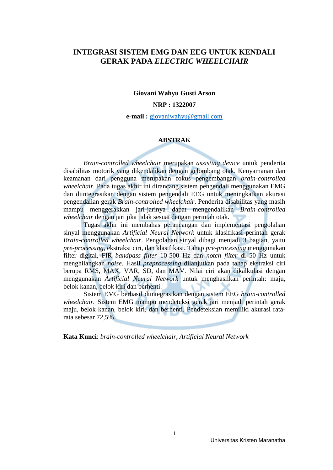### <span id="page-0-0"></span>**INTEGRASI SISTEM EMG DAN EEG UNTUK KENDALI GERAK PADA** *ELECTRIC WHEELCHAIR*

#### **Giovani Wahyu Gusti Arson**

#### **NRP : 1322007**

**e-mail :** [giovaniwahyu@gmail.com](mailto:giovaniwahyu@gmail.com)

#### **ABSTRAK**

*Brain-controlled wheelchair* merupakan *assisting device* untuk penderita disabilitas motorik yang dikendalikan dengan gelombang otak. Kenyamanan dan keamanan dari pengguna merupakan fokus pengembangan *brain-controlled wheelchair.* Pada tugas akhir ini dirancang sistem pengendali menggunakan EMG dan diintegrasikan dengan sistem pengendali EEG untuk meningkatkan akurasi pengendalian gerak *Brain-controlled wheelchair*. Penderita disabilitas yang masih mampu menggerakkan jari-jarinya dapat mengendalikan *Brain-controlled wheelchair* dengan jari jika tidak sesuai dengan perintah otak.

Tugas akhir ini membahas perancangan dan implementasi pengolahan sinyal menggunakan *Artificial Neural Network* untuk klasifikasi perintah gerak *Brain-controlled wheelchair*. Pengolahan sinyal dibagi menjadi 3 bagian, yaitu *pre-processing*, ekstraksi ciri, dan klasifikasi. Tahap *pre-processing* menggunakan filter digital, FIR *bandpass filter* 10-500 Hz dan *notch filter* di 50 Hz untuk menghilangkan *noise*. Hasil *preprocessing* dilanjutkan pada tahap ekstraksi ciri berupa RMS, MAX, VAR, SD, dan MAV*.* Nilai ciri akan dikalkulasi dengan menggunakan *Artificial Neural Network* untuk menghasilkan perintah: maju, belok kanan, belok kiri dan berhenti.

Sistem EMG berhasil diintegrasikan dengan sistem EEG *brain-controlled wheelchair.* Sistem EMG mampu mendeteksi gerak jari menjadi perintah gerak maju, belok kanan, belok kiri, dan berhenti. Pendeteksian memiliki akurasi ratarata sebesar 72,5%.

**Kata Kunci**: *brain-controlled wheelchair*, *Artificial Neural Network*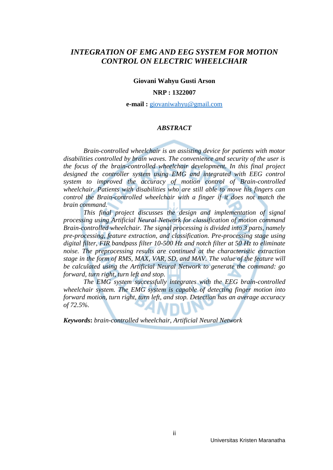### *INTEGRATION OF EMG AND EEG SYSTEM FOR MOTION CONTROL ON ELECTRIC WHEELCHAIR*

**Giovani Wahyu Gusti Arson**

#### **NRP : 1322007**

**e-mail :** [giovaniwahyu@gmail.com](mailto:giovaniwahyu@gmail.com)

#### *ABSTRACT*

*Brain-controlled wheelchair is an assisting device for patients with motor disabilities controlled by brain waves. The convenience and security of the user is the focus of the brain-controlled wheelchair development. In this final project*  designed the controller system using EMG and integrated with EEG control *system to improved the accuracy of motion control of Brain-controlled wheelchair. Patients with disabilities who are still able to move his fingers can control the Brain-controlled wheelchair with a finger if it does not match the brain command.*

*This final project discusses the design and implementation of signal processing using Artificial Neural Network for classification of motion command Brain-controlled wheelchair. The signal processing is divided into 3 parts, namely pre-processing, feature extraction, and classification. Pre-processing stage using digital filter, FIR bandpass filter 10-500 Hz and notch filter at 50 Hz to eliminate noise. The preprocessing results are continued at the characteristic extraction stage in the form of RMS, MAX, VAR, SD, and MAV. The value of the feature will be calculated using the Artificial Neural Network to generate the command: go forward, turn right, turn left and stop.*

*The EMG system successfully integrates with the EEG brain-controlled wheelchair system. The EMG system is capable of detecting finger motion into forward motion, turn right, turn left, and stop. Detection has an average accuracy of 72.5%.*

*Keywords***:** *brain-controlled wheelchair*, *Artificial Neural Network*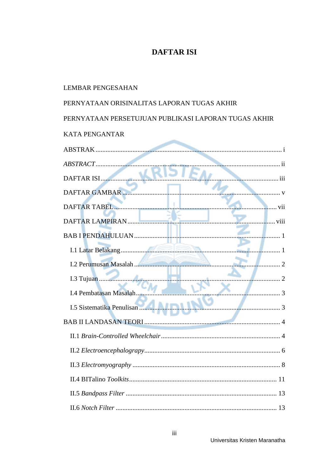### **DAFTAR ISI**

# **LEMBAR PENGESAHAN** PERNYATAAN ORISINALITAS LAPORAN TUGAS AKHIR PERNYATAAN PERSETUJUAN PUBLIKASI LAPORAN TUGAS AKHIR **KATA PENGANTAR** DAFTAR GAMBAR **MARKET AND THE RESIDENT OF A SET OF A SET OF A SET OF A SET OF A SET OF A SET OF A SET OF A SET OF A SET OF A SET OF A SET OF A SET OF A SET OF A SET OF A SET OF A SET OF A SET OF A SET OF A SET OF A SET OF** DAFTAR TABEL WELL DESCRIPTION OF THE VIL 3 I.4 Pembatasan Masalah...................... I.5 Sistematika Penulisan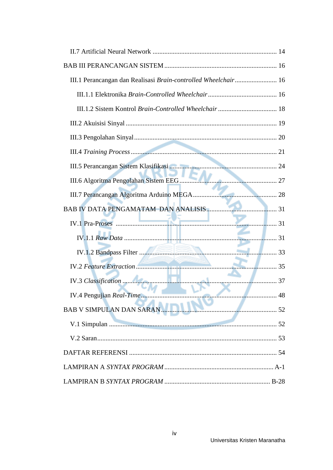| III.1 Perancangan dan Realisasi Brain-controlled Wheelchair 16 |  |
|----------------------------------------------------------------|--|
|                                                                |  |
|                                                                |  |
|                                                                |  |
|                                                                |  |
|                                                                |  |
|                                                                |  |
|                                                                |  |
|                                                                |  |
|                                                                |  |
|                                                                |  |
|                                                                |  |
|                                                                |  |
|                                                                |  |
|                                                                |  |
|                                                                |  |
| BAB V SIMPULAN DAN SARAN                                       |  |
|                                                                |  |
|                                                                |  |
|                                                                |  |
|                                                                |  |
|                                                                |  |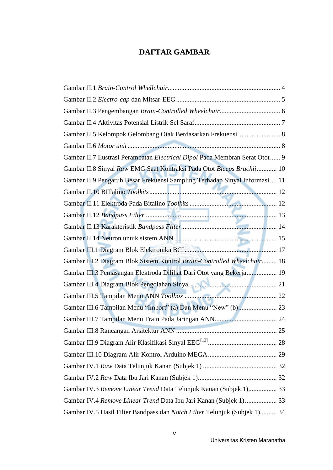# **DAFTAR GAMBAR**

<span id="page-4-0"></span>

| Gambar II.5 Kelompok Gelombang Otak Berdasarkan Frekuensi  8                |
|-----------------------------------------------------------------------------|
|                                                                             |
| Gambar II.7 Ilustrasi Perambatan Electrical Dipol Pada Membran Serat Otot 9 |
| Gambar II.8 Sinyal Raw EMG Saat Kontraksi Pada Otot Biceps Brachii 10       |
| Gambar II.9 Pengaruh Besar Frekuensi Sampling Terhadap Sinyal Informasi 11  |
|                                                                             |
|                                                                             |
|                                                                             |
|                                                                             |
|                                                                             |
|                                                                             |
| Gambar III.2 Diagram Blok Sistem Kontrol Brain-Controlled Wheelchair 18     |
| Gambar III.3 Pemasangan Elektroda Dilihat Dari Otot yang Bekerja 19         |
|                                                                             |
|                                                                             |
| Gambar III.6 Tampilan Menu "Import" (a) Dan Menu "New" (b) 23               |
|                                                                             |
|                                                                             |
|                                                                             |
|                                                                             |
|                                                                             |
|                                                                             |
| Gambar IV.3 Remove Linear Trend Data Telunjuk Kanan (Subjek 1) 33           |
| Gambar IV.4 Remove Linear Trend Data Ibu Jari Kanan (Subjek 1) 33           |
| Gambar IV.5 Hasil Filter Bandpass dan Notch Filter Telunjuk (Subjek 1) 34   |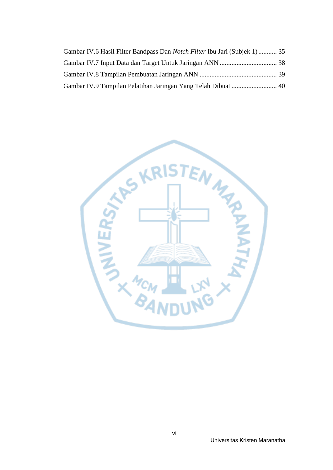| Gambar IV.6 Hasil Filter Bandpass Dan <i>Notch Filter</i> Ibu Jari (Subjek 1) 35 |  |
|----------------------------------------------------------------------------------|--|
|                                                                                  |  |
|                                                                                  |  |
|                                                                                  |  |

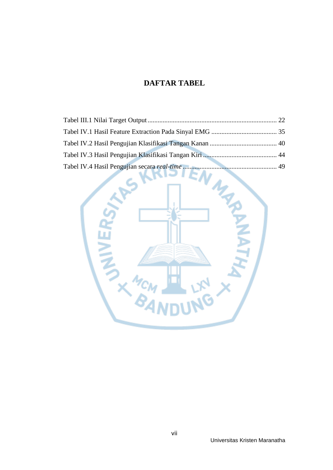# **DAFTAR TABEL**

<span id="page-6-0"></span>